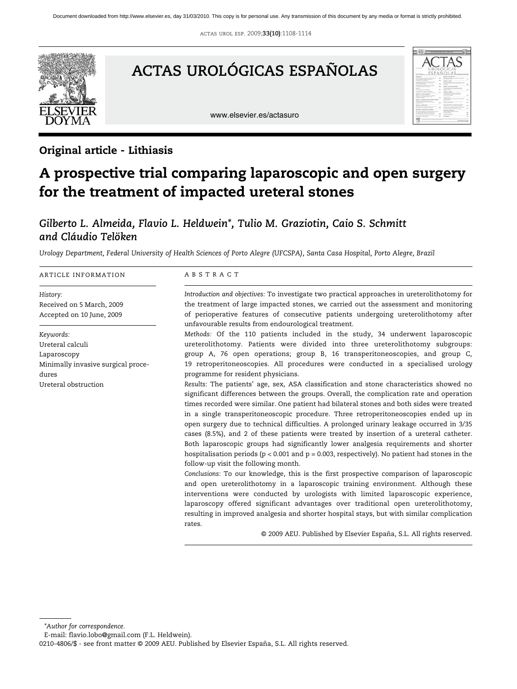actas urol esp. 2009;**33(10)**:1108-1114



# **ACTAS UROLÓGICAS ESPAÑOLAS**

www.elsevier.es/actasuro



# Original article - Lithiasis

# A prospective trial comparing laparoscopic and open surgery for the treatment of impacted ureteral stones

# *Gilberto L. Almeida, Flavio L. Heldwein\*, Tulio M. Graziotin, Caio S. Schmitt and Cláudio Telöken*

*Urology Department, Federal University of Health Sciences of Porto Alegre (UFCSPA), Santa Casa Hospital, Porto Alegre, Brazil*

#### ARTICLE INFORMATION

*History:*  Received on 5 March, 2009 Accepted on 10 June, 2009

*Keywords:* Ureteral calculi Laparoscopy Minimally invasive surgical procedures Ureteral obstruction

#### ABSTRACT

*Introduction and objectives:* To investigate two practical approaches in ureterolithotomy for the treatment of large impacted stones, we carried out the assessment and monitoring of perioperative features of consecutive patients undergoing ureterolithotomy after unfavourable results from endourological treatment.

*Methods:* Of the 110 patients included in the study, 34 underwent laparoscopic ureterolithotomy. Patients were divided into three ureterolithotomy subgroups: group A, 76 open operations; group B, 16 transperitoneoscopies, and group C, 19 retroperitoneoscopies. All procedures were conducted in a specialised urology programme for resident physicians.

*Results:* The patients' age, sex, ASA classification and stone characteristics showed no significant differences between the groups. Overall, the complication rate and operation times recorded were similar. One patient had bilateral stones and both sides were treated in a single transperitoneoscopic procedure. Three retroperitoneoscopies ended up in open surgery due to technical difficulties. A prolonged urinary leakage occurred in 3/35 cases (8.5%), and 2 of these patients were treated by insertion of a ureteral catheter. Both laparoscopic groups had significantly lower analgesia requirements and shorter hospitalisation periods ( $p < 0.001$  and  $p = 0.003$ , respectively). No patient had stones in the follow-up visit the following month.

*Conclusions:* To our knowledge, this is the first prospective comparison of laparoscopic and open ureterolithotomy in a laparoscopic training environment. Although these interventions were conducted by urologists with limited laparoscopic experience, laparoscopy offered significant advantages over traditional open ureterolithotomy, resulting in improved analgesia and shorter hospital stays, but with similar complication rates.

© 2009 AEU. Published by Elsevier España, S.L. All rights reserved.

*\*Author for correspondence.*

E-mail: flavio.lobo@gmail.com (F.L. Heldwein).

0210-4806/\$ - see front matter © 2009 AEU. Published by Elsevier España, S.L. All rights reserved.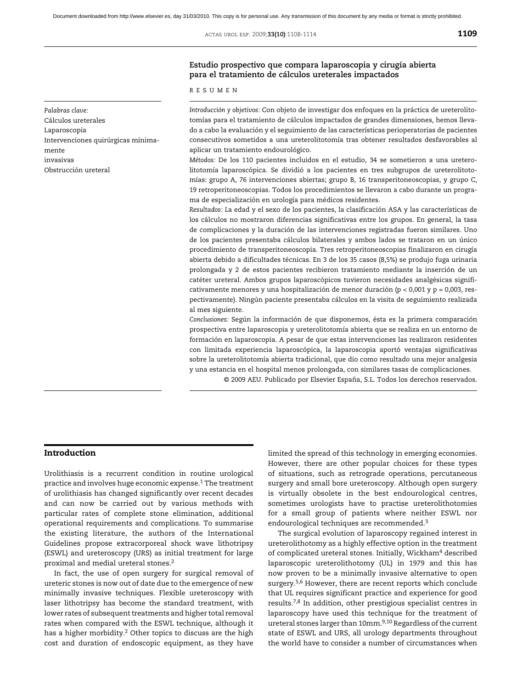ACTAS UROL ESP. 2009;**33(10)**:1108-1114 **1109** 

## **Estudio prospectivo que compara laparoscopia y cirugía abierta para el tratamiento de cálculos ureterales impactados**

RESUMEN

*Introducción y objetivos:* Con objeto de investigar dos enfoques en la práctica de ureterolitotomías para el tratamiento de cálculos impactados de grandes dimensiones, hemos llevado a cabo la evaluación y el seguimiento de las características perioperatorias de pacientes consecutivos sometidos a una ureterolitotomía tras obtener resultados desfavorables al aplicar un tratamiento endourológico.

*Métodos:* De los 110 pacientes incluidos en el estudio, 34 se sometieron a una ureterolitotomía laparoscópica. Se dividió a los pacientes en tres subgrupos de ureterolitotomías: grupo A, 76 intervenciones abiertas; grupo B, 16 transperitoneoscopias, y grupo C, 19 retroperitoneoscopias. Todos los procedimientos se llevaron a cabo durante un programa de especialización en urología para médicos residentes.

*Resultados: L*a edad y el sexo de los pacientes, la clasificación ASA y las características de los cálculos no mostraron diferencias significativas entre los grupos. En general, la tasa de complicaciones y la duración de las intervenciones registradas fueron similares. Uno de los pacientes presentaba cálculos bilaterales y ambos lados se trataron en un único procedimiento de transperitoneoscopia. Tres retroperitoneoscopias finalizaron en cirugía abierta debido a dificultades técnicas. En 3 de los 35 casos (8,5%) se produjo fuga urinaria prolongada y 2 de estos pacientes recibieron tratamiento mediante la inserción de un catéter ureteral. Ambos grupos laparoscópicos tuvieron necesidades analgésicas significativamente menores y una hospitalización de menor duración ( $p < 0.001$  y  $p = 0.003$ , respectivamente). Ningún paciente presentaba cálculos en la visita de seguimiento realizada al mes siguiente.

*Conclusiones:* Según la información de que disponemos, ésta es la primera comparación prospectiva entre laparoscopia y ureterolitotomía abierta que se realiza en un entorno de formación en laparoscopia. A pesar de que estas intervenciones las realizaron residentes con limitada experiencia laparoscópica, la laparoscopia aportó ventajas significativas sobre la ureterolitotomía abierta tradicional, que dio como resultado una mejor analgesia y una estancia en el hospital menos prolongada, con similares tasas de complicaciones.

© 2009 AEU. Publicado por Elsevier España, S.L. Todos los derechos reservados.

# Introduction

*Palabras clave:* Cálculos ureterales Laparoscopia

Obstrucción ureteral

mente invasivas

Intervenciones quirúrgicas mínima-

Urolithiasis is a recurrent condition in routine urological practice and involves huge economic expense.1 The treatment of urolithiasis has changed significantly over recent decades and can now be carried out by various methods with particular rates of complete stone elimination, additional operational requirements and complications. To summarise the existing literature, the authors of the International Guidelines propose extracorporeal shock wave lithotripsy (ESWL) and ureteroscopy (URS) as initial treatment for large proximal and medial ureteral stones.2

In fact, the use of open surgery for surgical removal of ureteric stones is now out of date due to the emergence of new minimally invasive techniques. Flexible ureteroscopy with laser lithotripsy has become the standard treatment, with lower rates of subsequent treatments and higher total removal rates when compared with the ESWL technique, although it has a higher morbidity.<sup>2</sup> Other topics to discuss are the high cost and duration of endoscopic equipment, as they have

limited the spread of this technology in emerging economies. However, there are other popular choices for these types of situations, such as retrograde operations, percutaneous surgery and small bore ureteroscopy. Although open surgery is virtually obsolete in the best endourological centres, sometimes urologists have to practise ureterolithotomies for a small group of patients where neither ESWL nor endourological techniques are recommended.<sup>3</sup>

The surgical evolution of laparoscopy regained interest in ureterolithotomy as a highly effective option in the treatment of complicated ureteral stones. Initially, Wickham<sup>4</sup> described laparoscopic ureterolithotomy (UL) in 1979 and this has now proven to be a minimally invasive alternative to open surgery.<sup>5,6</sup> However, there are recent reports which conclude that UL requires significant practice and experience for good results.7,8 In addition, other prestigious specialist centres in laparoscopy have used this technique for the treatment of ureteral stones larger than 10mm.<sup>9,10</sup> Regardless of the current state of ESWL and URS, all urology departments throughout the world have to consider a number of circumstances when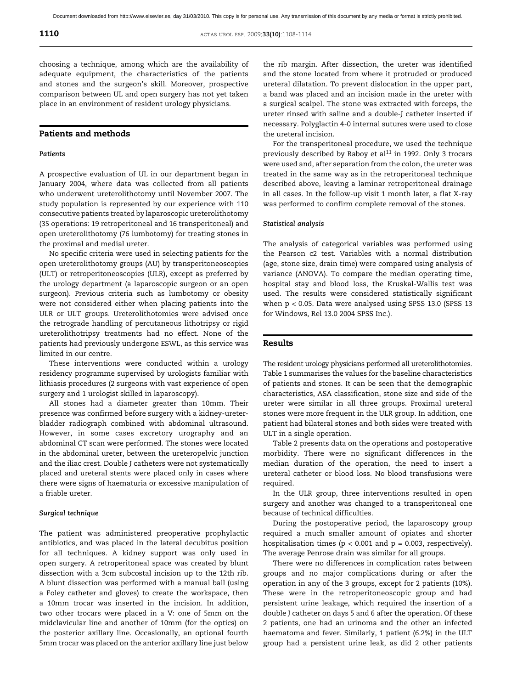choosing a technique, among which are the availability of adequate equipment, the characteristics of the patients and stones and the surgeon's skill. Moreover, prospective comparison between UL and open surgery has not yet taken place in an environment of resident urology physicians.

## Patients and methods

#### *Patients*

A prospective evaluation of UL in our department began in January 2004, where data was collected from all patients who underwent ureterolithotomy until November 2007. The study population is represented by our experience with 110 consecutive patients treated by laparoscopic ureterolithotomy (35 operations: 19 retroperitoneal and 16 transperitoneal) and open ureterolithotomy (76 lumbotomy) for treating stones in the proximal and medial ureter.

No specific criteria were used in selecting patients for the open ureterolithotomy groups (AU) by transperitoneoscopies (ULT) or retroperitoneoscopies (ULR), except as preferred by the urology department (a laparoscopic surgeon or an open surgeon). Previous criteria such as lumbotomy or obesity were not considered either when placing patients into the ULR or ULT groups. Ureterolithotomies were advised once the retrograde handling of percutaneous lithotripsy or rigid ureterolithotripsy treatments had no effect. None of the patients had previously undergone ESWL, as this service was limited in our centre.

These interventions were conducted within a urology residency programme supervised by urologists familiar with lithiasis procedures (2 surgeons with vast experience of open surgery and 1 urologist skilled in laparoscopy).

All stones had a diameter greater than 10mm. Their presence was confirmed before surgery with a kidney-ureterbladder radiograph combined with abdominal ultrasound. However, in some cases excretory urography and an abdominal CT scan were performed. The stones were located in the abdominal ureter, between the ureteropelvic junction and the iliac crest. Double J catheters were not systematically placed and ureteral stents were placed only in cases where there were signs of haematuria or excessive manipulation of a friable ureter.

#### *Surgical technique*

The patient was administered preoperative prophylactic antibiotics, and was placed in the lateral decubitus position for all techniques. A kidney support was only used in open surgery. A retroperitoneal space was created by blunt dissection with a 3cm subcostal incision up to the 12th rib. A blunt dissection was performed with a manual ball (using a Foley catheter and gloves) to create the workspace, then a 10mm trocar was inserted in the incision. In addition, two other trocars were placed in a V: one of 5mm on the midclavicular line and another of 10mm (for the optics) on the posterior axillary line. Occasionally, an optional fourth 5mm trocar was placed on the anterior axillary line just below

the rib margin. After dissection, the ureter was identified and the stone located from where it protruded or produced ureteral dilatation. To prevent dislocation in the upper part, a band was placed and an incision made in the ureter with a surgical scalpel. The stone was extracted with forceps, the ureter rinsed with saline and a double-J catheter inserted if necessary. Polyglactin 4-0 internal sutures were used to close the ureteral incision.

For the transperitoneal procedure, we used the technique previously described by Raboy et al<sup>11</sup> in 1992. Only 3 trocars were used and, after separation from the colon, the ureter was treated in the same way as in the retroperitoneal technique described above, leaving a laminar retroperitoneal drainage in all cases. In the follow-up visit 1 month later, a flat X-ray was performed to confirm complete removal of the stones.

#### *Statistical analysis*

The analysis of categorical variables was performed using the Pearson c2 test. Variables with a normal distribution (age, stone size, drain time) were compared using analysis of variance (ANOVA). To compare the median operating time, hospital stay and blood loss, the Kruskal-Wallis test was used. The results were considered statistically significant when p < 0.05. Data were analysed using SPSS 13.0 (SPSS 13 for Windows, Rel 13.0 2004 SPSS Inc.).

#### Results

The resident urology physicians performed all ureterolithotomies. Table 1 summarises the values for the baseline characteristics of patients and stones. It can be seen that the demographic characteristics, ASA classification, stone size and side of the ureter were similar in all three groups. Proximal ureteral stones were more frequent in the ULR group. In addition, one patient had bilateral stones and both sides were treated with ULT in a single operation.

Table 2 presents data on the operations and postoperative morbidity. There were no significant differences in the median duration of the operation, the need to insert a ureteral catheter or blood loss. No blood transfusions were required.

In the ULR group, three interventions resulted in open surgery and another was changed to a transperitoneal one because of technical difficulties.

During the postoperative period, the laparoscopy group required a much smaller amount of opiates and shorter hospitalisation times ( $p < 0.001$  and  $p = 0.003$ , respectively). The average Penrose drain was similar for all groups.

There were no differences in complication rates between groups and no major complications during or after the operation in any of the 3 groups, except for 2 patients (10%). These were in the retroperitoneoscopic group and had persistent urine leakage, which required the insertion of a double J catheter on days 5 and 6 after the operation. Of these 2 patients, one had an urinoma and the other an infected haematoma and fever. Similarly, 1 patient (6.2%) in the ULT group had a persistent urine leak, as did 2 other patients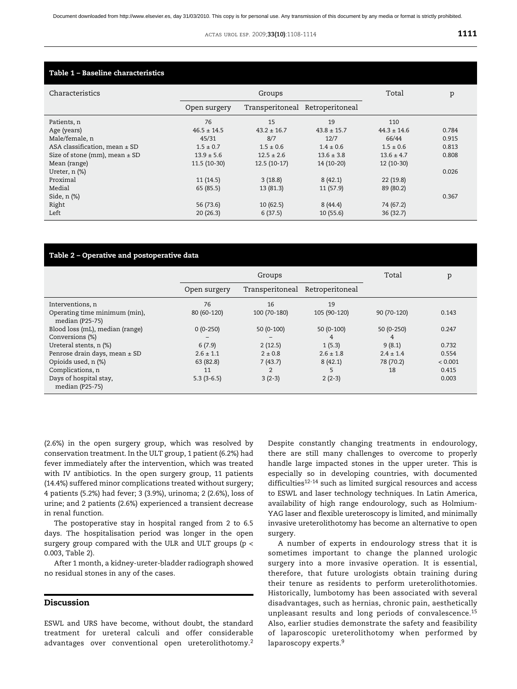| Characteristics                   |                 | Groups                          |                 | Total           | p     |
|-----------------------------------|-----------------|---------------------------------|-----------------|-----------------|-------|
|                                   | Open surgery    | Transperitoneal Retroperitoneal |                 |                 |       |
| Patients, n                       | 76              | 15                              | 19              | 110             |       |
| Age (years)                       | $46.5 \pm 14.5$ | $43.2 \pm 16.7$                 | $43.8 \pm 15.7$ | $44.3 \pm 14.6$ | 0.784 |
| Male/female, n                    | 45/31           | 8/7                             | 12/7            | 66/44           | 0.915 |
| ASA classification, mean $\pm$ SD | $1.5 \pm 0.7$   | $1.5 \pm 0.6$                   | $1.4 \pm 0.6$   | $1.5 \pm 0.6$   | 0.813 |
| Size of stone (mm), mean $\pm$ SD | $13.9 \pm 5.6$  | $12.5 \pm 2.6$                  | $13.6 \pm 3.8$  | $13.6 \pm 4.7$  | 0.808 |
| Mean (range)                      | 11.5 (10-30)    | $12.5(10-17)$                   | 14 (10-20)      | $12(10-30)$     |       |
| Ureter, $n$ $%$                   |                 |                                 |                 |                 | 0.026 |
| Proximal                          | 11(14.5)        | 3(18.8)                         | 8(42.1)         | 22(19.8)        |       |
| Medial                            | 65 (85.5)       | 13 (81.3)                       | 11(57.9)        | 89 (80.2)       |       |
| Side, $n$ $%$                     |                 |                                 |                 |                 | 0.367 |
| Right                             | 56 (73.6)       | 10(62.5)                        | 8(44.4)         | 74 (67.2)       |       |
| Left                              | 20(26.3)        | 6(37.5)                         | 10(55.6)        | 36(32.7)        |       |

#### Table 2 – Operative and postoperative data

|                                                  |               | Groups          |                 | Total         | p       |
|--------------------------------------------------|---------------|-----------------|-----------------|---------------|---------|
|                                                  | Open surgery  | Transperitoneal | Retroperitoneal |               |         |
| Interventions, n                                 | 76            | 16              | 19              |               |         |
| Operating time minimum (min),<br>median (P25-75) | 80 (60-120)   | 100 (70-180)    | 105 (90-120)    | 90 (70-120)   | 0.143   |
| Blood loss (mL), median (range)                  | $0(0-250)$    | $50(0-100)$     | $50(0-100)$     | 50 (0-250)    | 0.247   |
| Conversions (%)                                  |               |                 | 4               | 4             |         |
| Ureteral stents, n (%)                           | 6(7.9)        | 2(12.5)         | 1(5.3)          | 9(8.1)        | 0.732   |
| Penrose drain days, mean ± SD                    | $2.6 \pm 1.1$ | $2 \pm 0.8$     | $2.6 \pm 1.8$   | $2.4 \pm 1.4$ | 0.554   |
| Opioids used, n (%)                              | 63 (82.8)     | 7(43.7)         | 8(42.1)         | 78 (70.2)     | < 0.001 |
| Complications, n                                 | 11            | 2               |                 | 18            | 0.415   |
| Days of hospital stay,<br>median (P25-75)        | $5.3(3-6.5)$  | $3(2-3)$        | $2(2-3)$        |               | 0.003   |

(2.6%) in the open surgery group, which was resolved by conservation treatment. In the ULT group, 1 patient (6.2%) had fever immediately after the intervention, which was treated with IV antibiotics. In the open surgery group, 11 patients (14.4%) suffered minor complications treated without surgery; 4 patients (5.2%) had fever; 3 (3.9%), urinoma; 2 (2.6%), loss of urine; and 2 patients (2.6%) experienced a transient decrease in renal function.

The postoperative stay in hospital ranged from 2 to 6.5 days. The hospitalisation period was longer in the open surgery group compared with the ULR and ULT groups (p < 0.003, Table 2).

After 1 month, a kidney-ureter-bladder radiograph showed no residual stones in any of the cases.

### Discussion

ESWL and URS have become, without doubt, the standard treatment for ureteral calculi and offer considerable advantages over conventional open ureterolithotomy.<sup>2</sup>

Despite constantly changing treatments in endourology, there are still many challenges to overcome to properly handle large impacted stones in the upper ureter. This is especially so in developing countries, with documented difficulties<sup>12-14</sup> such as limited surgical resources and access to ESWL and laser technology techniques. In Latin America, availability of high range endourology, such as Holmium-YAG laser and flexible ureteroscopy is limited, and minimally invasive ureterolithotomy has become an alternative to open surgery.

A number of experts in endourology stress that it is sometimes important to change the planned urologic surgery into a more invasive operation. It is essential, therefore, that future urologists obtain training during their tenure as residents to perform ureterolithotomies. Historically, lumbotomy has been associated with several disadvantages, such as hernias, chronic pain, aesthetically unpleasant results and long periods of convalescence.<sup>15</sup> Also, earlier studies demonstrate the safety and feasibility of laparoscopic ureterolithotomy when performed by laparoscopy experts.<sup>9</sup>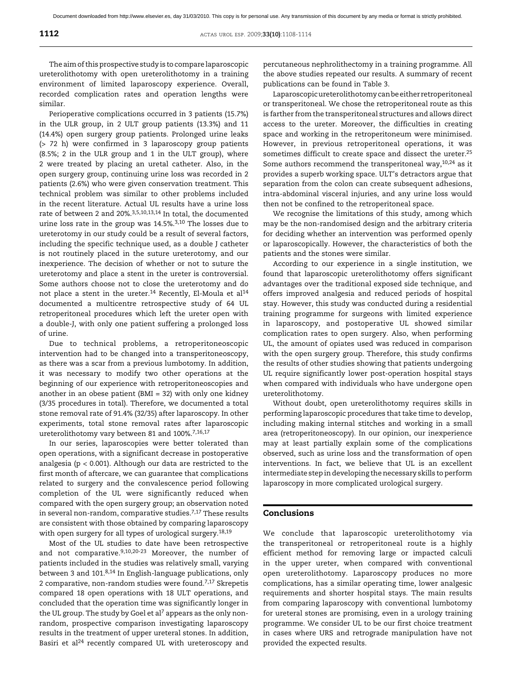The aim of this prospective study is to compare laparoscopic ureterolithotomy with open ureterolithotomy in a training environment of limited laparoscopy experience. Overall, recorded complication rates and operation lengths were similar.

Perioperative complications occurred in 3 patients (15.7%) in the ULR group, in 2 ULT group patients (13.3%) and 11 (14.4%) open surgery group patients. Prolonged urine leaks (> 72 h) were confirmed in 3 laparoscopy group patients (8.5%; 2 in the ULR group and 1 in the ULT group), where 2 were treated by placing an uretal catheter. Also, in the open surgery group, continuing urine loss was recorded in 2 patients (2.6%) who were given conservation treatment. This technical problem was similar to other problems included in the recent literature. Actual UL results have a urine loss rate of between 2 and 20%.3,5,10,13,14 In total, the documented urine loss rate in the group was 14.5%.3,10 The losses due to ureterotomy in our study could be a result of several factors, including the specific technique used, as a double J catheter is not routinely placed in the suture ureterotomy, and our inexperience. The decision of whether or not to suture the ureterotomy and place a stent in the ureter is controversial. Some authors choose not to close the ureterotomy and do not place a stent in the ureter.<sup>14</sup> Recently, El-Moula et al<sup>14</sup> documented a multicentre retrospective study of 64 UL retroperitoneal procedures which left the ureter open with a double-J, with only one patient suffering a prolonged loss of urine.

Due to technical problems, a retroperitoneoscopic intervention had to be changed into a transperitoneoscopy, as there was a scar from a previous lumbotomy. In addition, it was necessary to modify two other operations at the beginning of our experience with retroperitoneoscopies and another in an obese patient (BMI = 32) with only one kidney (3/35 procedures in total). Therefore, we documented a total stone removal rate of 91.4% (32/35) after laparoscopy. In other experiments, total stone removal rates after laparoscopic ureterolithotomy vary between 81 and 100%.7,16,17

In our series, laparoscopies were better tolerated than open operations, with a significant decrease in postoperative analgesia ( $p < 0.001$ ). Although our data are restricted to the first month of aftercare, we can guarantee that complications related to surgery and the convalescence period following completion of the UL were significantly reduced when compared with the open surgery group; an observation noted in several non-random, comparative studies.<sup>7,17</sup> These results are consistent with those obtained by comparing laparoscopy with open surgery for all types of urological surgery.<sup>18,19</sup>

Most of the UL studies to date have been retrospective and not comparative.<sup>9,10,20-23</sup> Moreover, the number of patients included in the studies was relatively small, varying between 3 and 101.8,14 In English-language publications, only 2 comparative, non-random studies were found.7,17 Skrepetis compared 18 open operations with 18 ULT operations, and concluded that the operation time was significantly longer in the UL group. The study by Goel et al<sup>7</sup> appears as the only nonrandom, prospective comparison investigating laparoscopy results in the treatment of upper ureteral stones. In addition, Basiri et al<sup>24</sup> recently compared UL with ureteroscopy and

percutaneous nephrolithectomy in a training programme. All the above studies repeated our results. A summary of recent publications can be found in Table 3.

Laparoscopic ureterolithotomy can be either retroperitoneal or transperitoneal. We chose the retroperitoneal route as this is farther from the transperitoneal structures and allows direct access to the ureter. Moreover, the difficulties in creating space and working in the retroperitoneum were minimised. However, in previous retroperitoneal operations, it was sometimes difficult to create space and dissect the ureter.<sup>25</sup> Some authors recommend the transperitoneal way, $10,24$  as it provides a superb working space. ULT's detractors argue that separation from the colon can create subsequent adhesions, intra-abdominal visceral injuries, and any urine loss would then not be confined to the retroperitoneal space.

We recognise the limitations of this study, among which may be the non-randomised design and the arbitrary criteria for deciding whether an intervention was performed openly or laparoscopically. However, the characteristics of both the patients and the stones were similar.

According to our experience in a single institution, we found that laparoscopic ureterolithotomy offers significant advantages over the traditional exposed side technique, and offers improved analgesia and reduced periods of hospital stay. However, this study was conducted during a residential training programme for surgeons with limited experience in laparoscopy, and postoperative UL showed similar complication rates to open surgery. Also, when performing UL, the amount of opiates used was reduced in comparison with the open surgery group. Therefore, this study confirms the results of other studies showing that patients undergoing UL require significantly lower post-operation hospital stays when compared with individuals who have undergone open ureterolithotomy.

Without doubt, open ureterolithotomy requires skills in performing laparoscopic procedures that take time to develop, including making internal stitches and working in a small area (retroperitoneoscopy). In our opinion, our inexperience may at least partially explain some of the complications observed, such as urine loss and the transformation of open interventions. In fact, we believe that UL is an excellent intermediate step in developing the necessary skills to perform laparoscopy in more complicated urological surgery.

### Conclusions

We conclude that laparoscopic ureterolithotomy via the transperitoneal or retroperitoneal route is a highly efficient method for removing large or impacted calculi in the upper ureter, when compared with conventional open ureterolithotomy. Laparoscopy produces no more complications, has a similar operating time, lower analgesic requirements and shorter hospital stays. The main results from comparing laparoscopy with conventional lumbotomy for ureteral stones are promising, even in a urology training programme. We consider UL to be our first choice treatment in cases where URS and retrograde manipulation have not provided the expected results.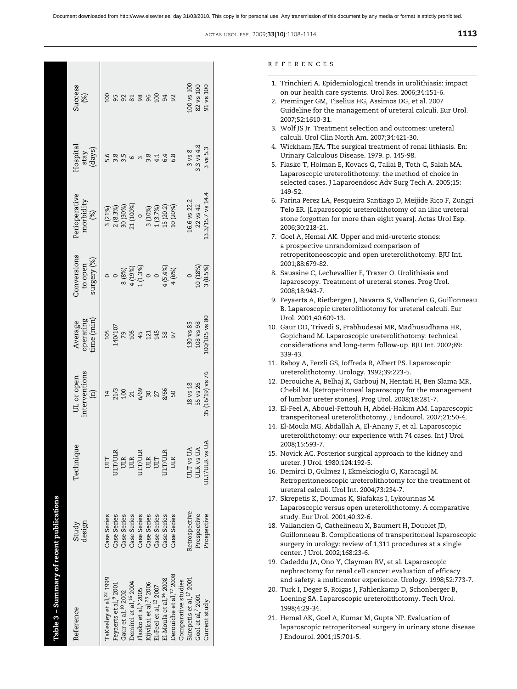| Table 3 – Summary of recent publications |                 |                      |                                              |                                   |                                       |                                   |                            |                 |
|------------------------------------------|-----------------|----------------------|----------------------------------------------|-----------------------------------|---------------------------------------|-----------------------------------|----------------------------|-----------------|
| Reference                                | design<br>Study | Technique            | interventions<br>UL or open<br>$\widehat{E}$ | operating<br>ime (min)<br>Average | conversions<br>surgery (%)<br>to open | Perioperative<br>morbidity<br>(%) | Hospital<br>stay<br>(days) | Success<br>(%)  |
| TaKeeley et al, <sup>22</sup> 1999       | Case Series     | ULT                  | 14                                           | 105                               |                                       | 3(21%)                            |                            |                 |
| Feyaerts et al,9 2001                    | Case Series     | ULT/ULR              | 21/3                                         | 140/107                           |                                       | $(8.3\%)$                         |                            |                 |
| Gaur et al, <sup>10</sup> 2002           | Case Series     | ULR                  | 100                                          |                                   | 8(8%)                                 | 30 (30%)                          |                            |                 |
| Demirci et al, <sup>16</sup> 2004        | Case Series     | ULR                  |                                              | 105                               | 4 (19%)                               | 1 (100%)                          |                            |                 |
| Flasko et al, <sup>5</sup> 2005          | Case Series     | ULT/ULR              | 6/69                                         | 45                                | 1(1.3%)                               |                                   |                            | 98              |
| Kijvikai et al, <sup>23</sup> 2006       | Case Series     | ULR                  |                                              | 121                               | $\circ$                               | 3(10%)                            |                            |                 |
| El-Feel et al, <sup>13</sup> 2007        | Case Series     | ULT                  |                                              | 145                               | $\circ$                               | (3.7%)                            |                            | $\overline{00}$ |
| El-Moula et al, <sup>14</sup> 2008       | Case Series     | ULT/ULR              | 8/66                                         |                                   | $4(5.4\%)$                            | 15 (20.2)                         |                            |                 |
| Derouiche et al, <sup>12</sup> 2008      | Case Series     | JIR                  |                                              |                                   | 4 (8%)                                | 10 (20%)                          |                            |                 |
| Comparative studies                      |                 |                      |                                              |                                   |                                       |                                   |                            |                 |
| Skrepetis et al, <sup>17</sup> 2001      | Retrospective   | ULT vs UA            | 18 vs 18                                     | 130 vs 85                         |                                       | 16.6 vs 22.2                      | $3 \text{ vs } 8$          | 100 vs 100      |
| Goel et al, <sup>7</sup> 2001            | Prospective     | ULR <sub>vs</sub> UA | 55 vs 26                                     | 108 vs 98                         | 10 (18%)                              | 22 vs 42                          | $3.3$ vs $4.8$             | 82 vs 100       |
| Current study                            | Prospective     | бĄ<br>ULT/ULR vs     | 35 (16/19) vs 76                             | 00/105 vs 80                      | 3(8.5%)                               | L3.3/15.7 vs 14.4                 | 3 vs 5.3                   | 91 vs 100       |
|                                          |                 |                      |                                              |                                   |                                       |                                   |                            |                 |

#### REFERENCES

- 1. Trinchieri A. Epidemiological trends in urolithiasis: impact on our health care systems. Urol Res. 2006;34:151-6.
- 2. Preminger GM, Tiselius HG, Assimos DG, et al. 2007 Guideline for the management of ureteral calculi. Eur Urol. 2007;52:1610-31.
- 3. Wolf JS Jr. Treatment selection and outcomes: ureteral calculi. Urol Clin North Am. 2007;34:421-30.
- 4. Wickham JEA. The surgical treatment of renal lithiasis. En: Urinary Calculous Disease. 1979. p. 145-98.
- 5. Flasko T, Holman E, Kovacs G, Tallai B, Toth C, Salah MA. Laparoscopic ureterolithotomy: the method of choice in selected cases. J Laparoendosc Adv Surg Tech A. 2005;15: 149-52.
- 6. Farina Perez LA, Pesqueira Santiago D, Meijide Rico F, Zungri Telo ER. [Laparoscopic ureterolithotomy of an iliac ureteral stone forgotten for more than eight years]. Actas Urol Esp. 2006;30:218-21.
- 7. Goel A, Hemal AK. Upper and mid-ureteric stones: a prospective unrandomized comparison of retroperitoneoscopic and open ureterolithotomy. BJU Int. 2001;88:679-82.
- 8. Saussine C, Lechevallier E, Traxer O. Urolithiasis and laparoscopy. Treatment of ureteral stones. Prog Urol. 2008;18:943-7.
- 9. Feyaerts A, Rietbergen J, Navarra S, Vallancien G, Guillonneau B. Laparoscopic ureterolithotomy for ureteral calculi. Eur Urol. 2001;40:609-13.
- 10. Gaur DD, Trivedi S, Prabhudesai MR, Madhusudhana HR, Gopichand M. Laparoscopic ureterolithotomy: technical considerations and long-term follow-up. BJU Int. 2002;89: 339-43.
- 11. Raboy A, Ferzli GS, Ioffreda R, Albert PS. Laparoscopic ureterolithotomy. Urology. 1992;39:223-5.
- 12. Derouiche A, Belhaj K, Garbouj N, Hentati H, Ben Slama MR, Chebil M. [Retroperitoneal laparoscopy for the management of lumbar ureter stones]. Prog Urol. 2008;18:281-7.
- 13. El-Feel A, Abouel-Fettouh H, Abdel-Hakim AM. Laparoscopic transperitoneal ureterolithotomy. J Endourol. 2007;21:50-4.
- 14. El-Moula MG, Abdallah A, El-Anany F, et al. Laparoscopic ureterolithotomy: our experience with 74 cases. Int J Urol. 2008;15:593-7.
- 15. Novick AC. Posterior surgical approach to the kidney and ureter. J Urol. 1980;124:192-5.
- 16. Demirci D, Gulmez I, Ekmekcioglu O, Karacagil M. Retroperitoneoscopic ureterolithotomy for the treatment of ureteral calculi. Urol Int. 2004;73:234-7.
- 17. Skrepetis K, Doumas K, Siafakas I, Lykourinas M. Laparoscopic versus open ureterolithotomy. A comparative study. Eur Urol. 2001;40:32-6.
- 18. Vallancien G, Cathelineau X, Baumert H, Doublet JD, Guillonneau B. Complications of transperitoneal laparoscopic surgery in urology: review of 1,311 procedures at a single center. J Urol. 2002;168:23-6.
- 19. Cadeddu JA, Ono Y, Clayman RV, et al. Laparoscopic nephrectomy for renal cell cancer: evaluation of efficacy and safety: a multicenter experience. Urology. 1998;52:773-7.
- 20. Turk I, Deger S, Roigas J, Fahlenkamp D, Schonberger B, Loening SA. Laparoscopic ureterolithotomy. Tech Urol. 1998;4:29-34.
- 21. Hemal AK, Goel A, Kumar M, Gupta NP. Evaluation of laparoscopic retroperitoneal surgery in urinary stone disease. J Endourol. 2001;15:701-5.

ACTAS UROL ESP. 2009;**33(10)**:1108-1114 1113